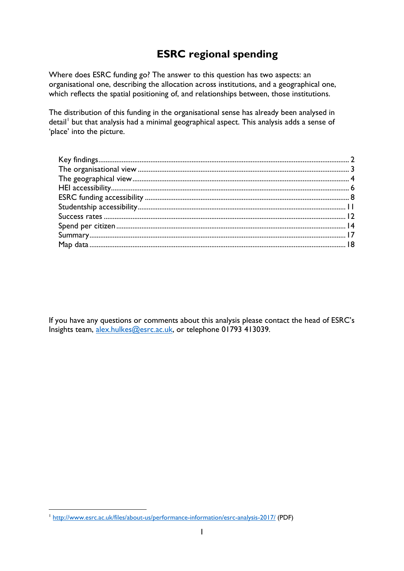# **ESRC regional spending**

Where does ESRC funding go? The answer to this question has two aspects: an organisational one, describing the allocation across institutions, and a geographical one, which reflects the spatial positioning of, and relationships between, those institutions.

The distribution of this funding in the organisational sense has already been analysed in detail<sup>[1](#page-0-0)</sup> but that analysis had a minimal geographical aspect. This analysis adds a sense of 'place' into the picture.

If you have any questions or comments about this analysis please contact the head of ESRC's Insights team, [alex.hulkes@esrc.ac.uk,](mailto:alex.hulkes@esrc.ac.uk) or telephone 01793 413039.

<span id="page-0-0"></span> <sup>1</sup> <http://www.esrc.ac.uk/files/about-us/performance-information/esrc-analysis-2017/> (PDF)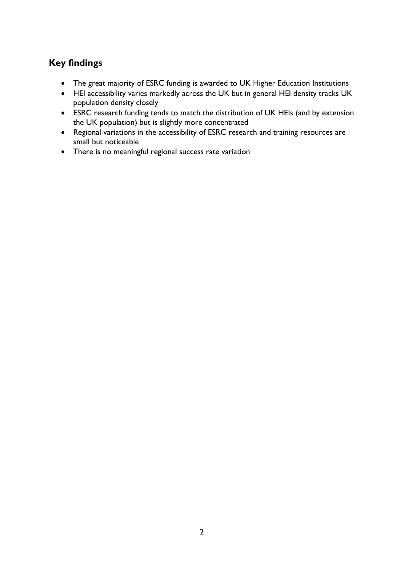# <span id="page-1-0"></span>**Key findings**

- The great majority of ESRC funding is awarded to UK Higher Education Institutions
- HEI accessibility varies markedly across the UK but in general HEI density tracks UK population density closely
- ESRC research funding tends to match the distribution of UK HEIs (and by extension the UK population) but is slightly more concentrated
- Regional variations in the accessibility of ESRC research and training resources are small but noticeable
- There is no meaningful regional success rate variation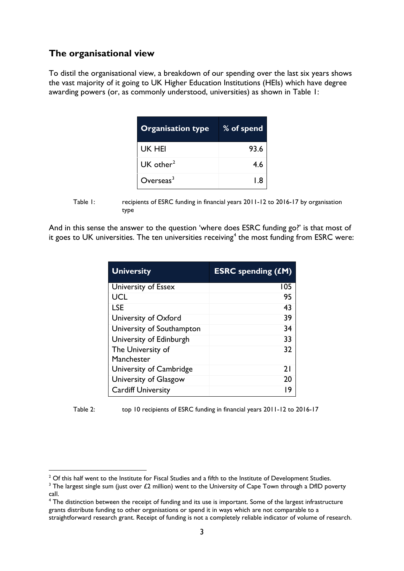#### <span id="page-2-0"></span>**The organisational view**

To distil the organisational view, a breakdown of our spending over the last six years shows the vast majority of it going to UK Higher Education Institutions (HEIs) which have degree awarding powers (or, as commonly understood, universities) as shown in Table 1:

| <b>Organisation type</b> | % of spend |
|--------------------------|------------|
| UK HEI                   | 93.6       |
| UK other $2$             | 4.6        |
| $O$ verseas $^3$         | l 8        |

Table 1: recipients of ESRC funding in financial years 2011-12 to 2016-17 by organisation type

And in this sense the answer to the question 'where does ESRC funding go?' is that most of it goes to UK universities. The ten universities receiving<sup>[4](#page-2-3)</sup> the most funding from ESRC were:

| <b>University</b>         | <b>ESRC</b> spending (£M) |
|---------------------------|---------------------------|
| University of Essex       | 105                       |
| UCL                       | 95                        |
| <b>LSE</b>                | 43                        |
| University of Oxford      | 39                        |
| University of Southampton | 34                        |
| University of Edinburgh   | 33                        |
| The University of         | 32                        |
| Manchester                |                           |
| University of Cambridge   | 21                        |
| University of Glasgow     | 20                        |
| <b>Cardiff University</b> | 19                        |

Table 2: top 10 recipients of ESRC funding in financial years 2011-12 to 2016-17

<span id="page-2-1"></span><sup>&</sup>lt;sup>2</sup> Of this half went to the Institute for Fiscal Studies and a fifth to the Institute of Development Studies.

<span id="page-2-2"></span><sup>&</sup>lt;sup>3</sup> The largest single sum (just over £2 million) went to the University of Cape Town through a DfID poverty call.

<span id="page-2-3"></span><sup>4</sup> The distinction between the receipt of funding and its use is important. Some of the largest infrastructure grants distribute funding to other organisations or spend it in ways which are not comparable to a straightforward research grant. Receipt of funding is not a completely reliable indicator of volume of research.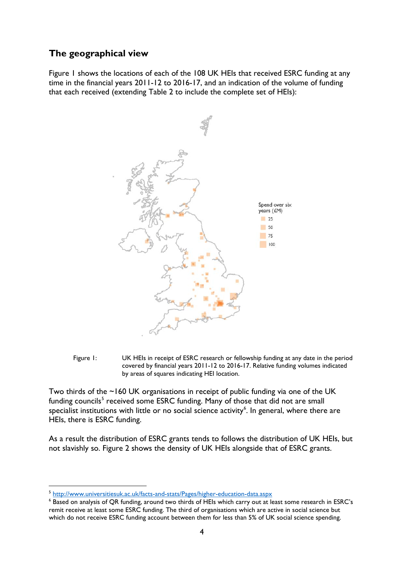#### <span id="page-3-0"></span>**The geographical view**

Figure 1 shows the locations of each of the 108 UK HEIs that received ESRC funding at any time in the financial years 2011-12 to 2016-17, and an indication of the volume of funding that each received (extending Table 2 to include the complete set of HEIs):





Two thirds of the ~160 UK organisations in receipt of public funding via one of the UK funding councils<sup>[5](#page-3-1)</sup> received some ESRC funding. Many of those that did not are small specialist institutions with little or no social science activity<sup>[6](#page-3-2)</sup>. In general, where there are HEIs, there is ESRC funding.

As a result the distribution of ESRC grants tends to follows the distribution of UK HEIs, but not slavishly so. Figure 2 shows the density of UK HEIs alongside that of ESRC grants.

<span id="page-3-1"></span> <sup>5</sup> <http://www.universitiesuk.ac.uk/facts-and-stats/Pages/higher-education-data.aspx>

<span id="page-3-2"></span><sup>&</sup>lt;sup>6</sup> Based on analysis of QR funding, around two thirds of HEIs which carry out at least some research in ESRC's remit receive at least some ESRC funding. The third of organisations which are active in social science but which do not receive ESRC funding account between them for less than 5% of UK social science spending.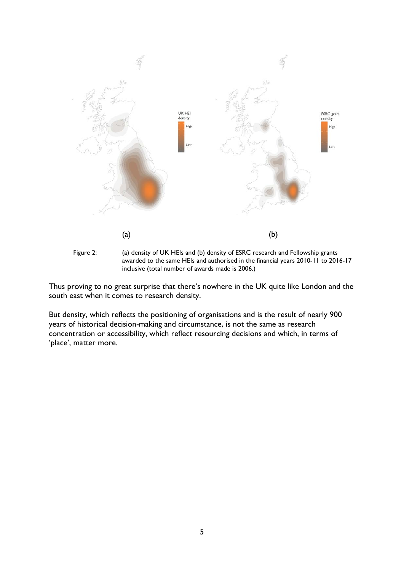



Thus proving to no great surprise that there's nowhere in the UK quite like London and the south east when it comes to research density.

But density, which reflects the positioning of organisations and is the result of nearly 900 years of historical decision-making and circumstance, is not the same as research concentration or accessibility, which reflect resourcing decisions and which, in terms of 'place', matter more.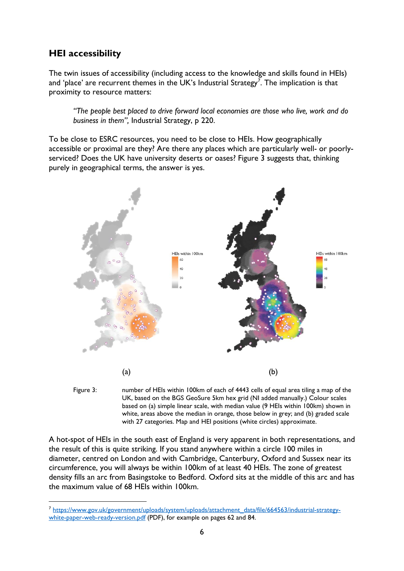#### <span id="page-5-0"></span>**HEI accessibility**

The twin issues of accessibility (including access to the knowledge and skills found in HEIs) and 'place' are recurrent themes in the UK's Industrial Strategy<sup>[7](#page-5-1)</sup>. The implication is that proximity to resource matters:

*"The people best placed to drive forward local economies are those who live, work and do business in them",* Industrial Strategy, p 220.

To be close to ESRC resources, you need to be close to HEIs. How geographically accessible or proximal are they? Are there any places which are particularly well- or poorlyserviced? Does the UK have university deserts or oases? Figure 3 suggests that, thinking purely in geographical terms, the answer is yes.





A hot-spot of HEIs in the south east of England is very apparent in both representations, and the result of this is quite striking. If you stand anywhere within a circle 100 miles in diameter, centred on London and with Cambridge, Canterbury, Oxford and Sussex near its circumference, you will always be within 100km of at least 40 HEIs. The zone of greatest density fills an arc from Basingstoke to Bedford. Oxford sits at the middle of this arc and has the maximum value of 68 HEIs within 100km.

<span id="page-5-1"></span> <sup>7</sup> [https://www.gov.uk/government/uploads/system/uploads/attachment\\_data/file/664563/industrial-strategy](https://www.gov.uk/government/uploads/system/uploads/attachment_data/file/664563/industrial-strategy-white-paper-web-ready-version.pdf)[white-paper-web-ready-version.pdf](https://www.gov.uk/government/uploads/system/uploads/attachment_data/file/664563/industrial-strategy-white-paper-web-ready-version.pdf) (PDF), for example on pages 62 and 84.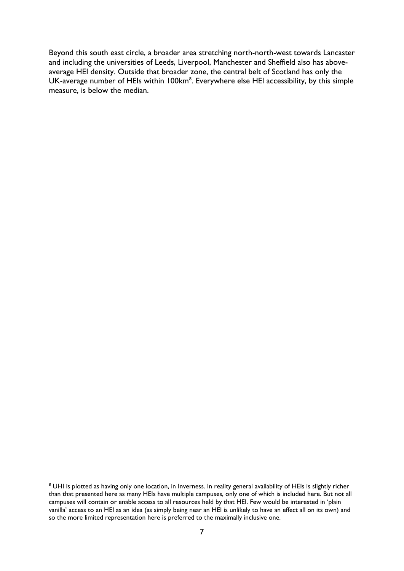Beyond this south east circle, a broader area stretching north-north-west towards Lancaster and including the universities of Leeds, Liverpool, Manchester and Sheffield also has aboveaverage HEI density. Outside that broader zone, the central belt of Scotland has only the UK-average number of HEIs within 100km<sup>[8](#page-6-0)</sup>. Everywhere else HEI accessibility, by this simple measure, is below the median.

<span id="page-6-0"></span><sup>&</sup>lt;sup>8</sup> UHI is plotted as having only one location, in Inverness. In reality general availability of HEIs is slightly richer than that presented here as many HEIs have multiple campuses, only one of which is included here. But not all campuses will contain or enable access to all resources held by that HEI. Few would be interested in 'plain vanilla' access to an HEI as an idea (as simply being near an HEI is unlikely to have an effect all on its own) and so the more limited representation here is preferred to the maximally inclusive one.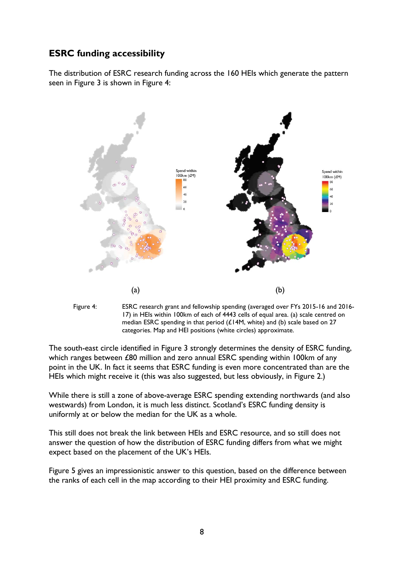## <span id="page-7-0"></span>**ESRC funding accessibility**

The distribution of ESRC research funding across the 160 HEIs which generate the pattern seen in Figure 3 is shown in Figure 4:





The south-east circle identified in Figure 3 strongly determines the density of ESRC funding, which ranges between £80 million and zero annual ESRC spending within 100km of any point in the UK. In fact it seems that ESRC funding is even more concentrated than are the HEIs which might receive it (this was also suggested, but less obviously, in Figure 2.)

While there is still a zone of above-average ESRC spending extending northwards (and also westwards) from London, it is much less distinct. Scotland's ESRC funding density is uniformly at or below the median for the UK as a whole.

This still does not break the link between HEIs and ESRC resource, and so still does not answer the question of how the distribution of ESRC funding differs from what we might expect based on the placement of the UK's HEIs.

Figure 5 gives an impressionistic answer to this question, based on the difference between the ranks of each cell in the map according to their HEI proximity and ESRC funding.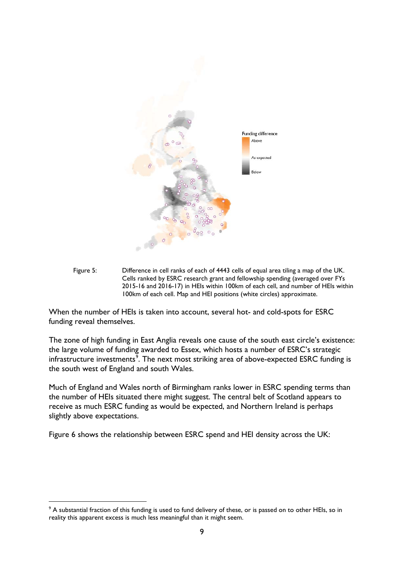

Figure 5: Difference in cell ranks of each of 4443 cells of equal area tiling a map of the UK. Cells ranked by ESRC research grant and fellowship spending (averaged over FYs 2015-16 and 2016-17) in HEIs within 100km of each cell, and number of HEIs within 100km of each cell. Map and HEI positions (white circles) approximate.

When the number of HEIs is taken into account, several hot- and cold-spots for ESRC funding reveal themselves.

The zone of high funding in East Anglia reveals one cause of the south east circle's existence: the large volume of funding awarded to Essex, which hosts a number of ESRC's strategic infrastructure investments<sup>[9](#page-8-0)</sup>. The next most striking area of above-expected ESRC funding is the south west of England and south Wales.

Much of England and Wales north of Birmingham ranks lower in ESRC spending terms than the number of HEIs situated there might suggest. The central belt of Scotland appears to receive as much ESRC funding as would be expected, and Northern Ireland is perhaps slightly above expectations.

Figure 6 shows the relationship between ESRC spend and HEI density across the UK:

<span id="page-8-0"></span><sup>&</sup>lt;sup>9</sup> A substantial fraction of this funding is used to fund delivery of these, or is passed on to other HEIs, so in reality this apparent excess is much less meaningful than it might seem.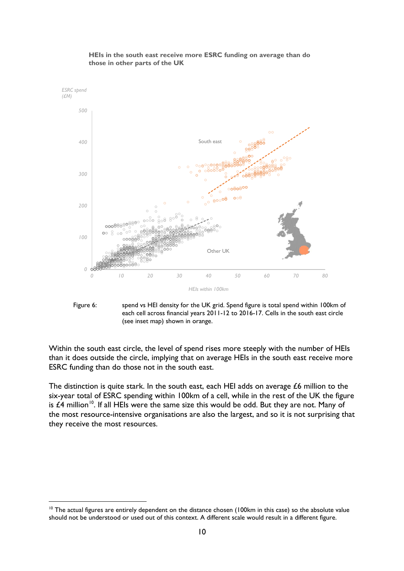

#### **HEIs in the south east receive more ESRC funding on average than do those in other parts of the UK**



Within the south east circle, the level of spend rises more steeply with the number of HEIs than it does outside the circle, implying that on average HEIs in the south east receive more ESRC funding than do those not in the south east.

The distinction is quite stark. In the south east, each HEI adds on average £6 million to the six-year total of ESRC spending within 100km of a cell, while in the rest of the UK the figure is  $£4$  million<sup>[10](#page-9-0)</sup>. If all HEIs were the same size this would be odd. But they are not. Many of the most resource-intensive organisations are also the largest, and so it is not surprising that they receive the most resources.

<span id="page-9-0"></span><sup>&</sup>lt;sup>10</sup> The actual figures are entirely dependent on the distance chosen (100km in this case) so the absolute value should not be understood or used out of this context. A different scale would result in a different figure.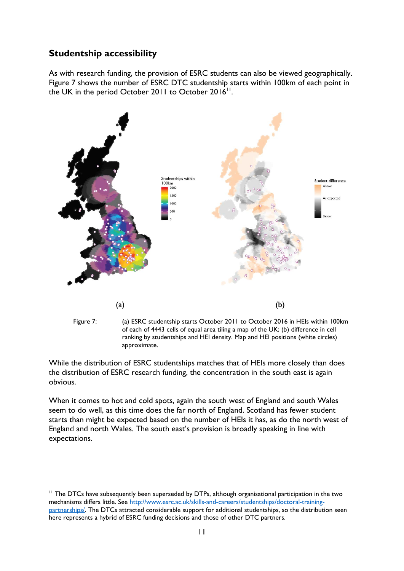## <span id="page-10-0"></span>**Studentship accessibility**

As with research funding, the provision of ESRC students can also be viewed geographically. Figure 7 shows the number of ESRC DTC studentship starts within 100km of each point in the UK in the period October 2011 to October  $2016$ <sup>11</sup>.



of each of 4443 cells of equal area tiling a map of the UK; (b) difference in cell ranking by studentships and HEI density. Map and HEI positions (white circles) approximate.

While the distribution of ESRC studentships matches that of HEIs more closely than does the distribution of ESRC research funding, the concentration in the south east is again obvious.

When it comes to hot and cold spots, again the south west of England and south Wales seem to do well, as this time does the far north of England. Scotland has fewer student starts than might be expected based on the number of HEIs it has, as do the north west of England and north Wales. The south east's provision is broadly speaking in line with expectations.

<span id="page-10-1"></span><sup>&</sup>lt;sup>11</sup> The DTCs have subsequently been superseded by DTPs, although organisational participation in the two mechanisms differs little. See [http://www.esrc.ac.uk/skills-and-careers/studentships/doctoral-training](http://www.esrc.ac.uk/skills-and-careers/studentships/doctoral-training-partnerships/)[partnerships/.](http://www.esrc.ac.uk/skills-and-careers/studentships/doctoral-training-partnerships/) The DTCs attracted considerable support for additional studentships, so the distribution seen here represents a hybrid of ESRC funding decisions and those of other DTC partners.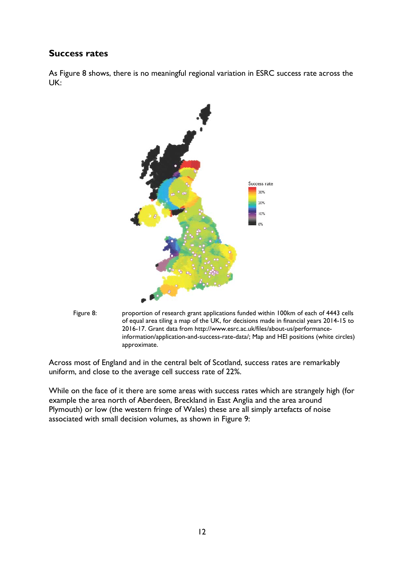#### <span id="page-11-0"></span>**Success rates**

As Figure 8 shows, there is no meaningful regional variation in ESRC success rate across the UK:





Figure 8: proportion of research grant applications funded within 100km of each of 4443 cells of equal area tiling a map of the UK, for decisions made in financial years 2014-15 to 2016-17. Grant data from http://www.esrc.ac.uk/files/about-us/performanceinformation/application-and-success-rate-data/; Map and HEI positions (white circles) approximate.

Across most of England and in the central belt of Scotland, success rates are remarkably uniform, and close to the average cell success rate of 22%.

While on the face of it there are some areas with success rates which are strangely high (for example the area north of Aberdeen, Breckland in East Anglia and the area around Plymouth) or low (the western fringe of Wales) these are all simply artefacts of noise associated with small decision volumes, as shown in Figure 9: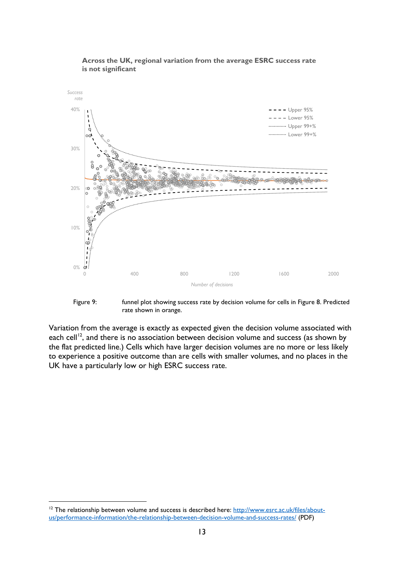

#### **Across the UK, regional variation from the average ESRC success rate is not significant**

Figure 9: funnel plot showing success rate by decision volume for cells in Figure 8. Predicted rate shown in orange.

Variation from the average is exactly as expected given the decision volume associated with each cell<sup>[12](#page-12-0)</sup>, and there is no association between decision volume and success (as shown by the flat predicted line.) Cells which have larger decision volumes are no more or less likely to experience a positive outcome than are cells with smaller volumes, and no places in the UK have a particularly low or high ESRC success rate.

<span id="page-12-0"></span><sup>&</sup>lt;sup>12</sup> The relationship between volume and success is described here: [http://www.esrc.ac.uk/files/about](http://www.esrc.ac.uk/files/about-us/performance-information/the-relationship-between-decision-volume-and-success-rates/)[us/performance-information/the-relationship-between-decision-volume-and-success-rates/](http://www.esrc.ac.uk/files/about-us/performance-information/the-relationship-between-decision-volume-and-success-rates/) (PDF)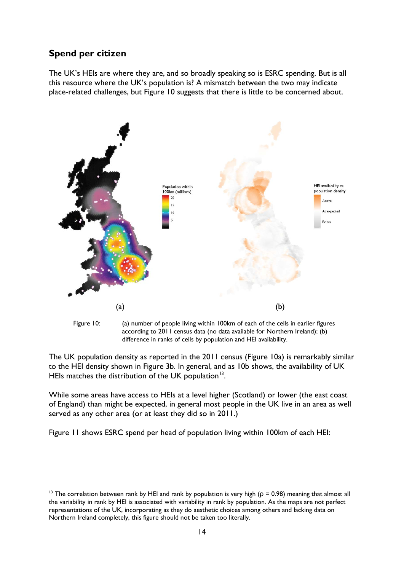## <span id="page-13-0"></span>**Spend per citizen**

The UK's HEIs are where they are, and so broadly speaking so is ESRC spending. But is all this resource where the UK's population is? A mismatch between the two may indicate place-related challenges, but Figure 10 suggests that there is little to be concerned about.





The UK population density as reported in the 2011 census (Figure 10a) is remarkably similar to the HEI density shown in Figure 3b. In general, and as 10b shows, the availability of UK HEIs matches the distribution of the UK population<sup>[13](#page-13-1)</sup>.

While some areas have access to HEIs at a level higher (Scotland) or lower (the east coast of England) than might be expected, in general most people in the UK live in an area as well served as any other area (or at least they did so in 2011.)

Figure 11 shows ESRC spend per head of population living within 100km of each HEI:

<span id="page-13-1"></span><sup>&</sup>lt;sup>13</sup> The correlation between rank by HEI and rank by population is very high ( $\rho = 0.98$ ) meaning that almost all the variability in rank by HEI is associated with variability in rank by population. As the maps are not perfect representations of the UK, incorporating as they do aesthetic choices among others and lacking data on Northern Ireland completely, this figure should not be taken too literally.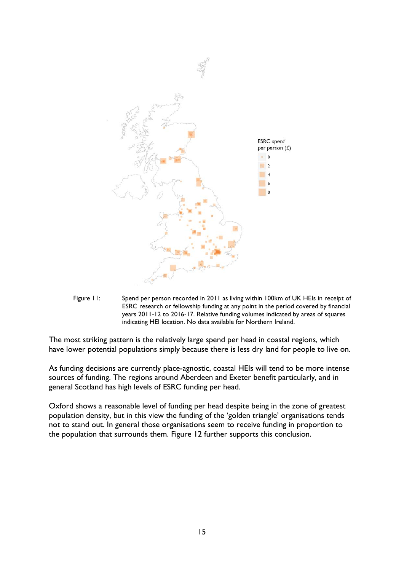

Figure 11: Spend per person recorded in 2011 as living within 100km of UK HEIs in receipt of ESRC research or fellowship funding at any point in the period covered by financial years 2011-12 to 2016-17. Relative funding volumes indicated by areas of squares indicating HEI location. No data available for Northern Ireland.

The most striking pattern is the relatively large spend per head in coastal regions, which have lower potential populations simply because there is less dry land for people to live on.

As funding decisions are currently place-agnostic, coastal HEIs will tend to be more intense sources of funding. The regions around Aberdeen and Exeter benefit particularly, and in general Scotland has high levels of ESRC funding per head.

Oxford shows a reasonable level of funding per head despite being in the zone of greatest population density, but in this view the funding of the 'golden triangle' organisations tends not to stand out. In general those organisations seem to receive funding in proportion to the population that surrounds them. Figure 12 further supports this conclusion.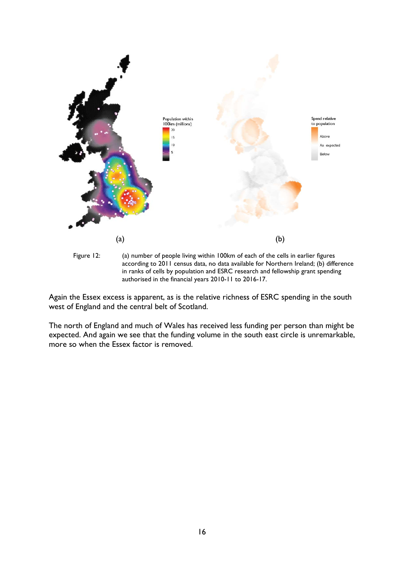

Again the Essex excess is apparent, as is the relative richness of ESRC spending in the south west of England and the central belt of Scotland.

authorised in the financial years 2010-11 to 2016-17.

The north of England and much of Wales has received less funding per person than might be expected. And again we see that the funding volume in the south east circle is unremarkable, more so when the Essex factor is removed.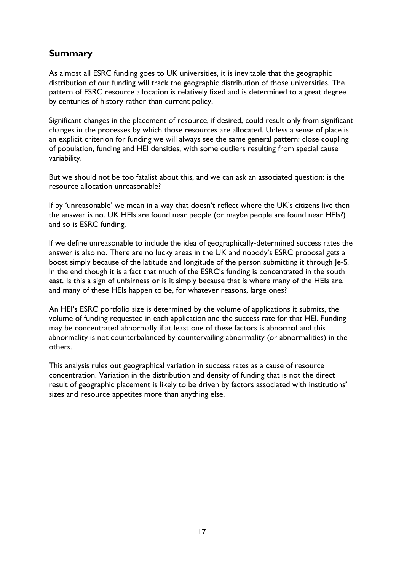## <span id="page-16-0"></span>**Summary**

As almost all ESRC funding goes to UK universities, it is inevitable that the geographic distribution of our funding will track the geographic distribution of those universities. The pattern of ESRC resource allocation is relatively fixed and is determined to a great degree by centuries of history rather than current policy.

Significant changes in the placement of resource, if desired, could result only from significant changes in the processes by which those resources are allocated. Unless a sense of place is an explicit criterion for funding we will always see the same general pattern: close coupling of population, funding and HEI densities, with some outliers resulting from special cause variability.

But we should not be too fatalist about this, and we can ask an associated question: is the resource allocation unreasonable?

If by 'unreasonable' we mean in a way that doesn't reflect where the UK's citizens live then the answer is no. UK HEIs are found near people (or maybe people are found near HEIs?) and so is ESRC funding.

If we define unreasonable to include the idea of geographically-determined success rates the answer is also no. There are no lucky areas in the UK and nobody's ESRC proposal gets a boost simply because of the latitude and longitude of the person submitting it through Je-S. In the end though it is a fact that much of the ESRC's funding is concentrated in the south east. Is this a sign of unfairness or is it simply because that is where many of the HEIs are, and many of these HEIs happen to be, for whatever reasons, large ones?

An HEI's ESRC portfolio size is determined by the volume of applications it submits, the volume of funding requested in each application and the success rate for that HEI. Funding may be concentrated abnormally if at least one of these factors is abnormal and this abnormality is not counterbalanced by countervailing abnormality (or abnormalities) in the others.

This analysis rules out geographical variation in success rates as a cause of resource concentration. Variation in the distribution and density of funding that is not the direct result of geographic placement is likely to be driven by factors associated with institutions' sizes and resource appetites more than anything else.